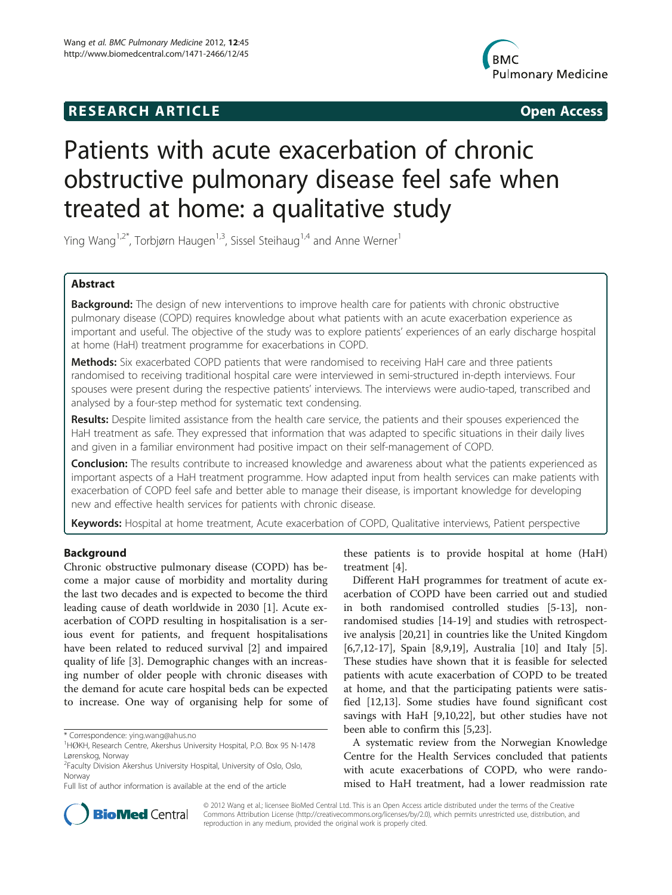# **RESEARCH ARTICLE Example 2014 12:30 The SEAR CHA RESEARCH ARTICLE**



# Patients with acute exacerbation of chronic obstructive pulmonary disease feel safe when treated at home: a qualitative study

Ying Wang<sup>1,2\*</sup>, Torbjørn Haugen<sup>1,3</sup>, Sissel Steihaug<sup>1,4</sup> and Anne Werner<sup>1</sup>

# Abstract

Background: The design of new interventions to improve health care for patients with chronic obstructive pulmonary disease (COPD) requires knowledge about what patients with an acute exacerbation experience as important and useful. The objective of the study was to explore patients' experiences of an early discharge hospital at home (HaH) treatment programme for exacerbations in COPD.

Methods: Six exacerbated COPD patients that were randomised to receiving HaH care and three patients randomised to receiving traditional hospital care were interviewed in semi-structured in-depth interviews. Four spouses were present during the respective patients' interviews. The interviews were audio-taped, transcribed and analysed by a four-step method for systematic text condensing.

Results: Despite limited assistance from the health care service, the patients and their spouses experienced the HaH treatment as safe. They expressed that information that was adapted to specific situations in their daily lives and given in a familiar environment had positive impact on their self-management of COPD.

Conclusion: The results contribute to increased knowledge and awareness about what the patients experienced as important aspects of a HaH treatment programme. How adapted input from health services can make patients with exacerbation of COPD feel safe and better able to manage their disease, is important knowledge for developing new and effective health services for patients with chronic disease.

Keywords: Hospital at home treatment, Acute exacerbation of COPD, Qualitative interviews, Patient perspective

# Background

Chronic obstructive pulmonary disease (COPD) has become a major cause of morbidity and mortality during the last two decades and is expected to become the third leading cause of death worldwide in 2030 [\[1](#page-5-0)]. Acute exacerbation of COPD resulting in hospitalisation is a serious event for patients, and frequent hospitalisations have been related to reduced survival [[2\]](#page-5-0) and impaired quality of life [\[3](#page-5-0)]. Demographic changes with an increasing number of older people with chronic diseases with the demand for acute care hospital beds can be expected to increase. One way of organising help for some of

\* Correspondence: [ying.wang@ahus.no](mailto:ying.wang@ahus.no) <sup>1</sup>

<sup>2</sup> Faculty Division Akershus University Hospital, University of Oslo, Oslo, Norway

Full list of author information is available at the end of the article

these patients is to provide hospital at home (HaH) treatment [[4\]](#page-5-0).

Different HaH programmes for treatment of acute exacerbation of COPD have been carried out and studied in both randomised controlled studies [\[5](#page-5-0)-[13\]](#page-5-0), nonrandomised studies [[14](#page-5-0)-[19\]](#page-5-0) and studies with retrospective analysis [[20,21](#page-5-0)] in countries like the United Kingdom [[6,7,12-17](#page-5-0)], Spain [[8,9,19\]](#page-5-0), Australia [[10\]](#page-5-0) and Italy [\[5](#page-5-0)]. These studies have shown that it is feasible for selected patients with acute exacerbation of COPD to be treated at home, and that the participating patients were satisfied [\[12,13\]](#page-5-0). Some studies have found significant cost savings with HaH [\[9,10,22](#page-5-0)], but other studies have not been able to confirm this [[5,](#page-5-0)[23\]](#page-6-0).

A systematic review from the Norwegian Knowledge Centre for the Health Services concluded that patients with acute exacerbations of COPD, who were randomised to HaH treatment, had a lower readmission rate



© 2012 Wang et al.; licensee BioMed Central Ltd. This is an Open Access article distributed under the terms of the Creative Commons Attribution License [\(http://creativecommons.org/licenses/by/2.0\)](http://creativecommons.org/licenses/by/2.0), which permits unrestricted use, distribution, and reproduction in any medium, provided the original work is properly cited.

<sup>&</sup>lt;sup>1</sup>HØKH, Research Centre, Akershus University Hospital, P.O. Box 95 N-1478 Lørenskog, Norway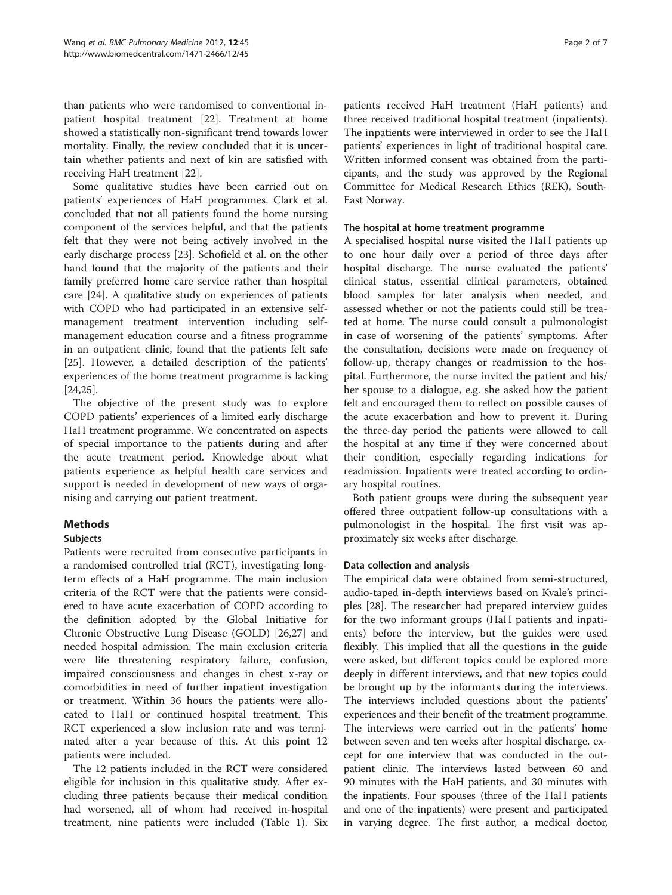than patients who were randomised to conventional inpatient hospital treatment [[22\]](#page-5-0). Treatment at home showed a statistically non-significant trend towards lower mortality. Finally, the review concluded that it is uncertain whether patients and next of kin are satisfied with receiving HaH treatment [\[22\]](#page-5-0).

Some qualitative studies have been carried out on patients' experiences of HaH programmes. Clark et al. concluded that not all patients found the home nursing component of the services helpful, and that the patients felt that they were not being actively involved in the early discharge process [\[23](#page-6-0)]. Schofield et al. on the other hand found that the majority of the patients and their family preferred home care service rather than hospital care [\[24](#page-6-0)]. A qualitative study on experiences of patients with COPD who had participated in an extensive selfmanagement treatment intervention including selfmanagement education course and a fitness programme in an outpatient clinic, found that the patients felt safe [[25\]](#page-6-0). However, a detailed description of the patients' experiences of the home treatment programme is lacking [[24,25\]](#page-6-0).

The objective of the present study was to explore COPD patients' experiences of a limited early discharge HaH treatment programme. We concentrated on aspects of special importance to the patients during and after the acute treatment period. Knowledge about what patients experience as helpful health care services and support is needed in development of new ways of organising and carrying out patient treatment.

# Methods

# Subjects

Patients were recruited from consecutive participants in a randomised controlled trial (RCT), investigating longterm effects of a HaH programme. The main inclusion criteria of the RCT were that the patients were considered to have acute exacerbation of COPD according to the definition adopted by the Global Initiative for Chronic Obstructive Lung Disease (GOLD) [[26,27](#page-6-0)] and needed hospital admission. The main exclusion criteria were life threatening respiratory failure, confusion, impaired consciousness and changes in chest x-ray or comorbidities in need of further inpatient investigation or treatment. Within 36 hours the patients were allocated to HaH or continued hospital treatment. This RCT experienced a slow inclusion rate and was terminated after a year because of this. At this point 12 patients were included.

The 12 patients included in the RCT were considered eligible for inclusion in this qualitative study. After excluding three patients because their medical condition had worsened, all of whom had received in-hospital treatment, nine patients were included (Table [1](#page-2-0)). Six patients received HaH treatment (HaH patients) and three received traditional hospital treatment (inpatients). The inpatients were interviewed in order to see the HaH patients' experiences in light of traditional hospital care. Written informed consent was obtained from the participants, and the study was approved by the Regional Committee for Medical Research Ethics (REK), South-East Norway.

# The hospital at home treatment programme

A specialised hospital nurse visited the HaH patients up to one hour daily over a period of three days after hospital discharge. The nurse evaluated the patients' clinical status, essential clinical parameters, obtained blood samples for later analysis when needed, and assessed whether or not the patients could still be treated at home. The nurse could consult a pulmonologist in case of worsening of the patients' symptoms. After the consultation, decisions were made on frequency of follow-up, therapy changes or readmission to the hospital. Furthermore, the nurse invited the patient and his/ her spouse to a dialogue, e.g. she asked how the patient felt and encouraged them to reflect on possible causes of the acute exacerbation and how to prevent it. During the three-day period the patients were allowed to call the hospital at any time if they were concerned about their condition, especially regarding indications for readmission. Inpatients were treated according to ordinary hospital routines.

Both patient groups were during the subsequent year offered three outpatient follow-up consultations with a pulmonologist in the hospital. The first visit was approximately six weeks after discharge.

# Data collection and analysis

The empirical data were obtained from semi-structured, audio-taped in-depth interviews based on Kvale's principles [[28](#page-6-0)]. The researcher had prepared interview guides for the two informant groups (HaH patients and inpatients) before the interview, but the guides were used flexibly. This implied that all the questions in the guide were asked, but different topics could be explored more deeply in different interviews, and that new topics could be brought up by the informants during the interviews. The interviews included questions about the patients' experiences and their benefit of the treatment programme. The interviews were carried out in the patients' home between seven and ten weeks after hospital discharge, except for one interview that was conducted in the outpatient clinic. The interviews lasted between 60 and 90 minutes with the HaH patients, and 30 minutes with the inpatients. Four spouses (three of the HaH patients and one of the inpatients) were present and participated in varying degree. The first author, a medical doctor,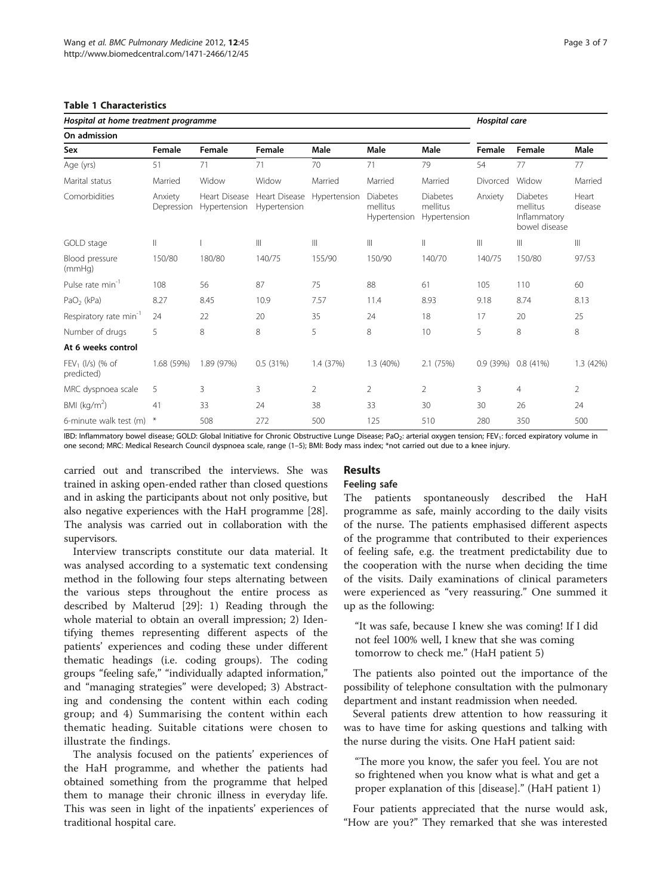#### <span id="page-2-0"></span>Table 1 Characteristics

| Hospital at home treatment programme |                       |                               |                               |                |                                             |                                             | <b>Hospital care</b> |                                                              |                  |
|--------------------------------------|-----------------------|-------------------------------|-------------------------------|----------------|---------------------------------------------|---------------------------------------------|----------------------|--------------------------------------------------------------|------------------|
| On admission                         |                       |                               |                               |                |                                             |                                             |                      |                                                              |                  |
| Sex                                  | Female                | Female                        | Female                        | Male           | Male                                        | Male                                        | Female               | Female                                                       | Male             |
| Age (yrs)                            | 51                    | 71                            | 71                            | 70             | 71                                          | 79                                          | 54                   | 77                                                           | 77               |
| Marital status                       | Married               | Widow                         | Widow                         | Married        | Married                                     | Married                                     | Divorced             | Widow                                                        | Married          |
| Comorbidities                        | Anxiety<br>Depression | Heart Disease<br>Hypertension | Heart Disease<br>Hypertension | Hypertension   | <b>Diabetes</b><br>mellitus<br>Hypertension | <b>Diabetes</b><br>mellitus<br>Hypertension | Anxiety              | <b>Diabetes</b><br>mellitus<br>Inflammatory<br>bowel disease | Heart<br>disease |
| GOLD stage                           | $\mathbf{  }$         |                               | $\mathbb{H}$                  | $\mathbb{H}$   | $\mathbb{H}$                                | $\parallel$                                 | $\mathbb{H}$         | $\mathbb{H}$                                                 | $\mathbb{H}$     |
| Blood pressure<br>(mmHq)             | 150/80                | 180/80                        | 140/75                        | 155/90         | 150/90                                      | 140/70                                      | 140/75               | 150/80                                                       | 97/53            |
| Pulse rate min <sup>-1</sup>         | 108                   | 56                            | 87                            | 75             | 88                                          | 61                                          | 105                  | 110                                                          | 60               |
| PaO <sub>2</sub> (kPa)               | 8.27                  | 8.45                          | 10.9                          | 7.57           | 11.4                                        | 8.93                                        | 9.18                 | 8.74                                                         | 8.13             |
| Respiratory rate min <sup>-1</sup>   | 24                    | 22                            | 20                            | 35             | 24                                          | 18                                          | 17                   | 20                                                           | 25               |
| Number of drugs                      | 5                     | 8                             | 8                             | 5              | 8                                           | 10                                          | 5                    | 8                                                            | 8                |
| At 6 weeks control                   |                       |                               |                               |                |                                             |                                             |                      |                                                              |                  |
| $FEV_1$ (I/s) (% of<br>predicted)    | 1.68 (59%)            | 1.89 (97%)                    | 0.5(31%)                      | 1.4 (37%)      | 1.3 (40%)                                   | 2.1 (75%)                                   |                      | 0.9 (39%) 0.8 (41%)                                          | 1.3 (42%)        |
| MRC dyspnoea scale                   | 5                     | 3                             | 3                             | $\overline{2}$ | 2                                           | $\overline{2}$                              | 3                    | 4                                                            | 2                |
| BMI ( $kg/m2$ )                      | 41                    | 33                            | 24                            | 38             | 33                                          | 30                                          | 30                   | 26                                                           | 24               |
| 6-minute walk test (m)               | $\ast$                | 508                           | 272                           | 500            | 125                                         | 510                                         | 280                  | 350                                                          | 500              |

IBD: Inflammatory bowel disease; GOLD: Global Initiative for Chronic Obstructive Lunge Disease; PaO<sub>2</sub>: arterial oxygen tension; FEV<sub>1</sub>: forced expiratory volume in one second; MRC: Medical Research Council dyspnoea scale, range (1–5); BMI: Body mass index; \*not carried out due to a knee injury.

carried out and transcribed the interviews. She was trained in asking open-ended rather than closed questions and in asking the participants about not only positive, but also negative experiences with the HaH programme [[28](#page-6-0)]. The analysis was carried out in collaboration with the supervisors.

Interview transcripts constitute our data material. It was analysed according to a systematic text condensing method in the following four steps alternating between the various steps throughout the entire process as described by Malterud [\[29](#page-6-0)]: 1) Reading through the whole material to obtain an overall impression; 2) Identifying themes representing different aspects of the patients' experiences and coding these under different thematic headings (i.e. coding groups). The coding groups "feeling safe," "individually adapted information," and "managing strategies" were developed; 3) Abstracting and condensing the content within each coding group; and 4) Summarising the content within each thematic heading. Suitable citations were chosen to illustrate the findings.

The analysis focused on the patients' experiences of the HaH programme, and whether the patients had obtained something from the programme that helped them to manage their chronic illness in everyday life. This was seen in light of the inpatients' experiences of traditional hospital care.

# Results

#### Feeling safe

The patients spontaneously described the HaH programme as safe, mainly according to the daily visits of the nurse. The patients emphasised different aspects of the programme that contributed to their experiences of feeling safe, e.g. the treatment predictability due to the cooperation with the nurse when deciding the time of the visits. Daily examinations of clinical parameters were experienced as "very reassuring." One summed it up as the following:

"It was safe, because I knew she was coming! If I did not feel 100% well, I knew that she was coming tomorrow to check me." (HaH patient 5)

The patients also pointed out the importance of the possibility of telephone consultation with the pulmonary department and instant readmission when needed.

Several patients drew attention to how reassuring it was to have time for asking questions and talking with the nurse during the visits. One HaH patient said:

"The more you know, the safer you feel. You are not so frightened when you know what is what and get a proper explanation of this [disease]." (HaH patient 1)

Four patients appreciated that the nurse would ask, "How are you?" They remarked that she was interested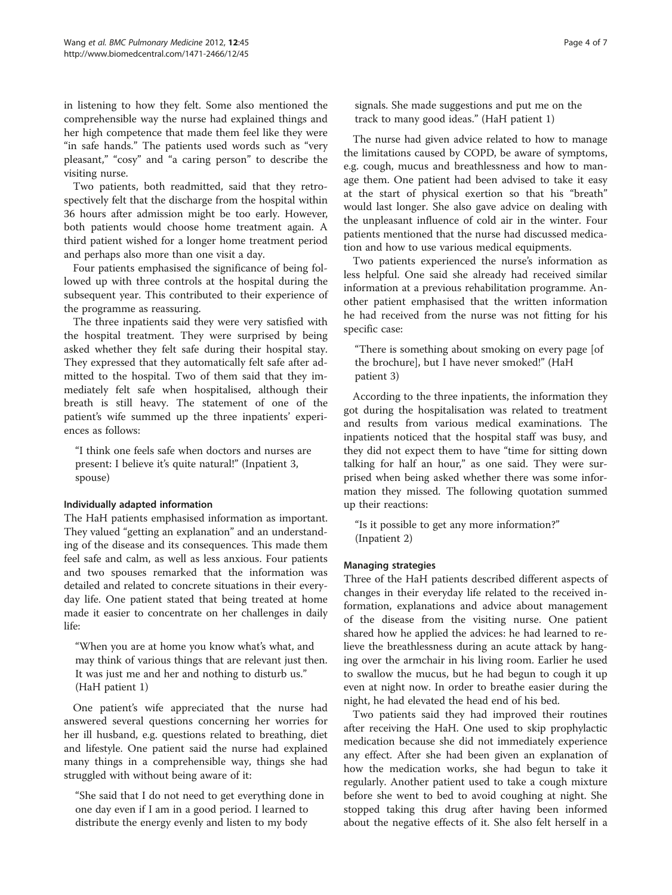in listening to how they felt. Some also mentioned the comprehensible way the nurse had explained things and her high competence that made them feel like they were "in safe hands." The patients used words such as "very pleasant," "cosy" and "a caring person" to describe the visiting nurse.

Two patients, both readmitted, said that they retrospectively felt that the discharge from the hospital within 36 hours after admission might be too early. However, both patients would choose home treatment again. A third patient wished for a longer home treatment period and perhaps also more than one visit a day.

Four patients emphasised the significance of being followed up with three controls at the hospital during the subsequent year. This contributed to their experience of the programme as reassuring.

The three inpatients said they were very satisfied with the hospital treatment. They were surprised by being asked whether they felt safe during their hospital stay. They expressed that they automatically felt safe after admitted to the hospital. Two of them said that they immediately felt safe when hospitalised, although their breath is still heavy. The statement of one of the patient's wife summed up the three inpatients' experiences as follows:

"I think one feels safe when doctors and nurses are present: I believe it's quite natural!" (Inpatient 3, spouse)

# Individually adapted information

The HaH patients emphasised information as important. They valued "getting an explanation" and an understanding of the disease and its consequences. This made them feel safe and calm, as well as less anxious. Four patients and two spouses remarked that the information was detailed and related to concrete situations in their everyday life. One patient stated that being treated at home made it easier to concentrate on her challenges in daily life:

"When you are at home you know what's what, and may think of various things that are relevant just then. It was just me and her and nothing to disturb us." (HaH patient 1)

One patient's wife appreciated that the nurse had answered several questions concerning her worries for her ill husband, e.g. questions related to breathing, diet and lifestyle. One patient said the nurse had explained many things in a comprehensible way, things she had struggled with without being aware of it:

"She said that I do not need to get everything done in one day even if I am in a good period. I learned to distribute the energy evenly and listen to my body

signals. She made suggestions and put me on the track to many good ideas." (HaH patient 1)

The nurse had given advice related to how to manage the limitations caused by COPD, be aware of symptoms, e.g. cough, mucus and breathlessness and how to manage them. One patient had been advised to take it easy at the start of physical exertion so that his "breath" would last longer. She also gave advice on dealing with the unpleasant influence of cold air in the winter. Four patients mentioned that the nurse had discussed medication and how to use various medical equipments.

Two patients experienced the nurse's information as less helpful. One said she already had received similar information at a previous rehabilitation programme. Another patient emphasised that the written information he had received from the nurse was not fitting for his specific case:

"There is something about smoking on every page [of the brochure], but I have never smoked!" (HaH patient 3)

According to the three inpatients, the information they got during the hospitalisation was related to treatment and results from various medical examinations. The inpatients noticed that the hospital staff was busy, and they did not expect them to have "time for sitting down talking for half an hour," as one said. They were surprised when being asked whether there was some information they missed. The following quotation summed up their reactions:

"Is it possible to get any more information?" (Inpatient 2)

#### Managing strategies

Three of the HaH patients described different aspects of changes in their everyday life related to the received information, explanations and advice about management of the disease from the visiting nurse. One patient shared how he applied the advices: he had learned to relieve the breathlessness during an acute attack by hanging over the armchair in his living room. Earlier he used to swallow the mucus, but he had begun to cough it up even at night now. In order to breathe easier during the night, he had elevated the head end of his bed.

Two patients said they had improved their routines after receiving the HaH. One used to skip prophylactic medication because she did not immediately experience any effect. After she had been given an explanation of how the medication works, she had begun to take it regularly. Another patient used to take a cough mixture before she went to bed to avoid coughing at night. She stopped taking this drug after having been informed about the negative effects of it. She also felt herself in a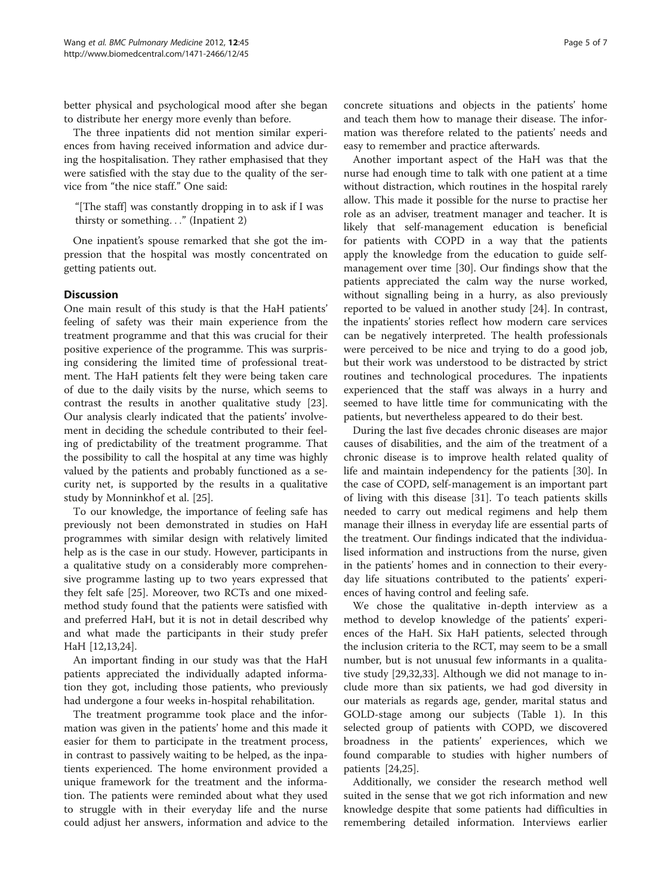better physical and psychological mood after she began to distribute her energy more evenly than before.

The three inpatients did not mention similar experiences from having received information and advice during the hospitalisation. They rather emphasised that they were satisfied with the stay due to the quality of the service from "the nice staff." One said:

"[The staff] was constantly dropping in to ask if I was thirsty or something..." (Inpatient 2)

One inpatient's spouse remarked that she got the impression that the hospital was mostly concentrated on getting patients out.

#### **Discussion**

One main result of this study is that the HaH patients' feeling of safety was their main experience from the treatment programme and that this was crucial for their positive experience of the programme. This was surprising considering the limited time of professional treatment. The HaH patients felt they were being taken care of due to the daily visits by the nurse, which seems to contrast the results in another qualitative study [\[23](#page-6-0)]. Our analysis clearly indicated that the patients' involvement in deciding the schedule contributed to their feeling of predictability of the treatment programme. That the possibility to call the hospital at any time was highly valued by the patients and probably functioned as a security net, is supported by the results in a qualitative study by Monninkhof et al. [[25\]](#page-6-0).

To our knowledge, the importance of feeling safe has previously not been demonstrated in studies on HaH programmes with similar design with relatively limited help as is the case in our study. However, participants in a qualitative study on a considerably more comprehensive programme lasting up to two years expressed that they felt safe [\[25](#page-6-0)]. Moreover, two RCTs and one mixedmethod study found that the patients were satisfied with and preferred HaH, but it is not in detail described why and what made the participants in their study prefer HaH [\[12,13](#page-5-0)[,24](#page-6-0)].

An important finding in our study was that the HaH patients appreciated the individually adapted information they got, including those patients, who previously had undergone a four weeks in-hospital rehabilitation.

The treatment programme took place and the information was given in the patients' home and this made it easier for them to participate in the treatment process, in contrast to passively waiting to be helped, as the inpatients experienced. The home environment provided a unique framework for the treatment and the information. The patients were reminded about what they used to struggle with in their everyday life and the nurse could adjust her answers, information and advice to the

concrete situations and objects in the patients' home and teach them how to manage their disease. The information was therefore related to the patients' needs and easy to remember and practice afterwards.

Another important aspect of the HaH was that the nurse had enough time to talk with one patient at a time without distraction, which routines in the hospital rarely allow. This made it possible for the nurse to practise her role as an adviser, treatment manager and teacher. It is likely that self-management education is beneficial for patients with COPD in a way that the patients apply the knowledge from the education to guide selfmanagement over time [[30\]](#page-6-0). Our findings show that the patients appreciated the calm way the nurse worked, without signalling being in a hurry, as also previously reported to be valued in another study [\[24](#page-6-0)]. In contrast, the inpatients' stories reflect how modern care services can be negatively interpreted. The health professionals were perceived to be nice and trying to do a good job, but their work was understood to be distracted by strict routines and technological procedures. The inpatients experienced that the staff was always in a hurry and seemed to have little time for communicating with the patients, but nevertheless appeared to do their best.

During the last five decades chronic diseases are major causes of disabilities, and the aim of the treatment of a chronic disease is to improve health related quality of life and maintain independency for the patients [[30\]](#page-6-0). In the case of COPD, self-management is an important part of living with this disease [[31\]](#page-6-0). To teach patients skills needed to carry out medical regimens and help them manage their illness in everyday life are essential parts of the treatment. Our findings indicated that the individualised information and instructions from the nurse, given in the patients' homes and in connection to their everyday life situations contributed to the patients' experiences of having control and feeling safe.

We chose the qualitative in-depth interview as a method to develop knowledge of the patients' experiences of the HaH. Six HaH patients, selected through the inclusion criteria to the RCT, may seem to be a small number, but is not unusual few informants in a qualitative study [\[29,32,33](#page-6-0)]. Although we did not manage to include more than six patients, we had god diversity in our materials as regards age, gender, marital status and GOLD-stage among our subjects (Table [1\)](#page-2-0). In this selected group of patients with COPD, we discovered broadness in the patients' experiences, which we found comparable to studies with higher numbers of patients [\[24,25](#page-6-0)].

Additionally, we consider the research method well suited in the sense that we got rich information and new knowledge despite that some patients had difficulties in remembering detailed information. Interviews earlier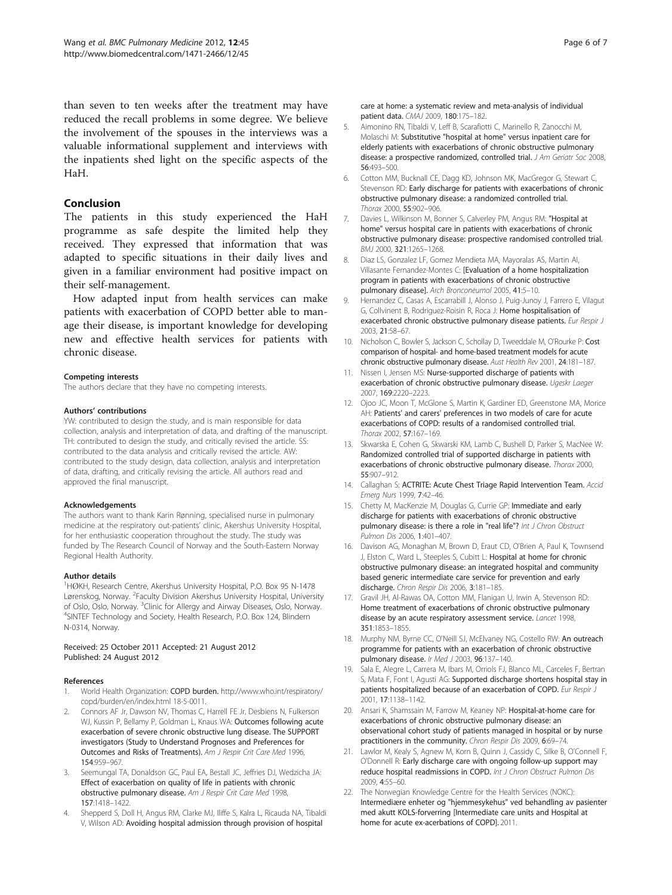<span id="page-5-0"></span>than seven to ten weeks after the treatment may have reduced the recall problems in some degree. We believe the involvement of the spouses in the interviews was a valuable informational supplement and interviews with the inpatients shed light on the specific aspects of the HaH.

# Conclusion

The patients in this study experienced the HaH programme as safe despite the limited help they received. They expressed that information that was adapted to specific situations in their daily lives and given in a familiar environment had positive impact on their self-management.

How adapted input from health services can make patients with exacerbation of COPD better able to manage their disease, is important knowledge for developing new and effective health services for patients with chronic disease.

#### Competing interests

The authors declare that they have no competing interests.

#### Authors' contributions

YW: contributed to design the study, and is main responsible for data collection, analysis and interpretation of data, and drafting of the manuscript. TH: contributed to design the study, and critically revised the article. SS: contributed to the data analysis and critically revised the article. AW: contributed to the study design, data collection, analysis and interpretation of data, drafting, and critically revising the article. All authors read and approved the final manuscript.

#### Acknowledgements

The authors want to thank Karin Rønning, specialised nurse in pulmonary medicine at the respiratory out-patients' clinic, Akershus University Hospital, for her enthusiastic cooperation throughout the study. The study was funded by The Research Council of Norway and the South-Eastern Norway Regional Health Authority.

#### Author details

<sup>1</sup>HØKH, Research Centre, Akershus University Hospital, P.O. Box 95 N-1478 Lørenskog, Norway. <sup>2</sup>Faculty Division Akershus University Hospital, University of Oslo, Oslo, Norway. <sup>3</sup>Clinic for Allergy and Airway Diseases, Oslo, Norway.<br><sup>4</sup>SINTEE Technology and Society, Health Besearch, P.O. Box 124. Blindern SINTEF Technology and Society, Health Research, P.O. Box 124, Blindern N-0314, Norway.

#### Received: 25 October 2011 Accepted: 21 August 2012 Published: 24 August 2012

#### References

- 1. World Health Organization: COPD burden. [http://www.who.int/respiratory/](http://www.who.int/respiratory/copd/burden/en/index.html) [copd/burden/en/index.html](http://www.who.int/respiratory/copd/burden/en/index.html) 18-5-0011.
- 2. Connors AF Jr, Dawson NV, Thomas C, Harrell FE Jr, Desbiens N, Fulkerson WJ, Kussin P, Bellamy P, Goldman L, Knaus WA: Outcomes following acute exacerbation of severe chronic obstructive lung disease. The SUPPORT investigators (Study to Understand Prognoses and Preferences for Outcomes and Risks of Treatments). Am J Respir Crit Care Med 1996, 154:959–967.
- Seemungal TA, Donaldson GC, Paul EA, Bestall JC, Jeffries DJ, Wedzicha JA: Effect of exacerbation on quality of life in patients with chronic obstructive pulmonary disease. Am J Respir Crit Care Med 1998, 157:1418–1422.
- 4. Shepperd S, Doll H, Angus RM, Clarke MJ, Iliffe S, Kalra L, Ricauda NA, Tibaldi V, Wilson AD: Avoiding hospital admission through provision of hospital

care at home: a systematic review and meta-analysis of individual patient data. CMAJ 2009, 180:175–182.

- 5. Aimonino RN, Tibaldi V, Leff B, Scarafiotti C, Marinello R, Zanocchi M, Molaschi M: Substitutive "hospital at home" versus inpatient care for elderly patients with exacerbations of chronic obstructive pulmonary disease: a prospective randomized, controlled trial. J Am Geriatr Soc 2008, 56:493–500.
- 6. Cotton MM, Bucknall CE, Dagg KD, Johnson MK, MacGregor G, Stewart C, Stevenson RD: Early discharge for patients with exacerbations of chronic obstructive pulmonary disease: a randomized controlled trial. Thorax 2000, 55:902–906.
- Davies L, Wilkinson M, Bonner S, Calverley PM, Angus RM: "Hospital at home" versus hospital care in patients with exacerbations of chronic obstructive pulmonary disease: prospective randomised controlled trial. BMJ 2000, 321:1265–1268.
- 8. Diaz LS, Gonzalez LF, Gomez Mendieta MA, Mayoralas AS, Martin AI, Villasante Fernandez-Montes C: [Evaluation of a home hospitalization program in patients with exacerbations of chronic obstructive pulmonary disease]. Arch Bronconeumol 2005, 41:5–10.
- 9. Hernandez C, Casas A, Escarrabill J, Alonso J, Puig-Junoy J, Farrero E, Vilagut G, Collvinent B, Rodriguez-Roisin R, Roca J: Home hospitalisation of exacerbated chronic obstructive pulmonary disease patients. Eur Respir J 2003, 21:58–67.
- 10. Nicholson C, Bowler S, Jackson C, Schollay D, Tweeddale M, O'Rourke P: Cost comparison of hospital- and home-based treatment models for acute chronic obstructive pulmonary disease. Aust Health Rev 2001, 24:181–187.
- 11. Nissen I, Jensen MS: Nurse-supported discharge of patients with exacerbation of chronic obstructive pulmonary disease. Ugeskr Laeger 2007, 169:2220–2223.
- 12. Ojoo JC, Moon T, McGlone S, Martin K, Gardiner ED, Greenstone MA, Morice AH: Patients' and carers' preferences in two models of care for acute exacerbations of COPD: results of a randomised controlled trial. Thorax 2002, 57:167–169.
- 13. Skwarska E, Cohen G, Skwarski KM, Lamb C, Bushell D, Parker S, MacNee W: Randomized controlled trial of supported discharge in patients with exacerbations of chronic obstructive pulmonary disease. Thorax 2000, 55:907–912.
- 14. Callaghan S: ACTRITE: Acute Chest Triage Rapid Intervention Team. Accid Emerg Nurs 1999, 7:42–46.
- 15. Chetty M, MacKenzie M, Douglas G, Currie GP: Immediate and early discharge for patients with exacerbations of chronic obstructive pulmonary disease: is there a role in "real life"? Int J Chron Obstruct Pulmon Dis 2006, 1:401–407.
- 16. Davison AG, Monaghan M, Brown D, Eraut CD, O'Brien A, Paul K, Townsend J, Elston C, Ward L, Steeples S, Cubitt L: Hospital at home for chronic obstructive pulmonary disease: an integrated hospital and community based generic intermediate care service for prevention and early discharge. Chron Respir Dis 2006, 3:181-185.
- 17. Gravil JH, Al-Rawas OA, Cotton MM, Flanigan U, Irwin A, Stevenson RD: Home treatment of exacerbations of chronic obstructive pulmonary disease by an acute respiratory assessment service. Lancet 1998, 351:1853–1855.
- 18. Murphy NM, Byrne CC, O'Neill SJ, McElvaney NG, Costello RW: An outreach programme for patients with an exacerbation of chronic obstructive pulmonary disease. Ir Med J 2003, 96:137–140.
- 19. Sala E, Alegre L, Carrera M, Ibars M, Orriols FJ, Blanco ML, Carceles F, Bertran S, Mata F, Font I, Agusti AG: Supported discharge shortens hospital stay in patients hospitalized because of an exacerbation of COPD. Eur Respir J 2001, 17:1138–1142.
- 20. Ansari K, Shamssain M, Farrow M, Keaney NP: Hospital-at-home care for exacerbations of chronic obstructive pulmonary disease: an observational cohort study of patients managed in hospital or by nurse practitioners in the community. Chron Respir Dis 2009, 6:69-74.
- 21. Lawlor M, Kealy S, Agnew M, Korn B, Quinn J, Cassidy C, Silke B, O'Connell F, O'Donnell R: Early discharge care with ongoing follow-up support may reduce hospital readmissions in COPD. Int J Chron Obstruct Pulmon Dis 2009, 4:55–60.
- 22. The Norwegian Knowledge Centre for the Health Services (NOKC): Intermediære enheter og "hjemmesykehus" ved behandling av pasienter med akutt KOLS-forverring [Intermediate care units and Hospital at home for acute ex-acerbations of COPD]. 2011.